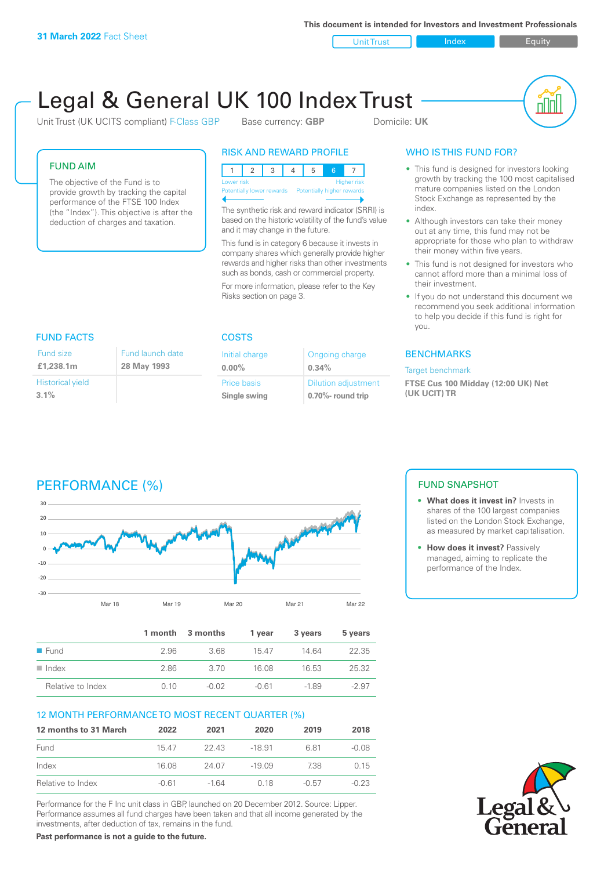**This document is intended for Investors and Investment Professionals**

Unit Trust Index I Equity

# Legal & General UK 100 Index Trust

Unit Trust (UK UCITS compliant) F-Class GBP Base currency: **GBP** Domicile: UK



#### FUND AIM

The objective of the Fund is to provide growth by tracking the capital performance of the FTSE 100 Index (the "Index"). This objective is after the deduction of charges and taxation.

### RISK AND REWARD PROFILE



The synthetic risk and reward indicator (SRRI) is based on the historic volatility of the fund's value and it may change in the future.

This fund is in category 6 because it invests in company shares which generally provide higher rewards and higher risks than other investments such as bonds, cash or commercial property.

For more information, please refer to the Key Risks section on page 3.

### WHO IS THIS FUND FOR?

- This fund is designed for investors looking growth by tracking the 100 most capitalised mature companies listed on the London Stock Exchange as represented by the index.
- Although investors can take their money out at any time, this fund may not be appropriate for those who plan to withdraw their money within five years.
- This fund is not designed for investors who cannot afford more than a minimal loss of their investment.
- If you do not understand this document we recommend you seek additional information to help you decide if this fund is right for you.

#### **BENCHMARKS**

#### Target benchmark

**FTSE Cus 100 Midday (12:00 UK) Net (UK UCIT) TR**

## FUND FACTS COSTS

| Fund size               | Fund launch date |
|-------------------------|------------------|
| £1,238.1m               | 28 May 1993      |
| <b>Historical yield</b> |                  |
| 3.1%                    |                  |

| Initial charge | Ongoing charge             |
|----------------|----------------------------|
| $0.00\%$       | 0.34%                      |
| Price basis    | <b>Dilution adjustment</b> |
| Single swing   | 0.70%- round trip          |

# PERFORMANCE (%)



|                     |      | 1 month 3 months | 1 year  | 3 years | 5 years |
|---------------------|------|------------------|---------|---------|---------|
| $\blacksquare$ Fund | 2.96 | 368              | 1547    | 14 64   | 22.35   |
| Index<br>. .        | 2.86 | -3.70            | 16.08   | 16.53   | 25.32   |
| Relative to Index   | O 10 | $-0.02$          | $-0.61$ | $-189$  | $-2.97$ |

#### 12 MONTH PERFORMANCE TO MOST RECENT QUARTER (%)

| 12 months to 31 March | 2022  | 2021   | 2020     | 2019    | 2018    |
|-----------------------|-------|--------|----------|---------|---------|
| Fund                  | 15.47 | -22.43 | $-18.91$ | 681     | $-0.08$ |
| Index                 | 16.08 | 24.07  | $-19.09$ | 738     | 0.15    |
| Relative to Index     | -0.61 | $-164$ | 0.18     | $-0.57$ | $-0.23$ |

Performance for the F Inc unit class in GBP, launched on 20 December 2012. Source: Lipper. Performance assumes all fund charges have been taken and that all income generated by the investments, after deduction of tax, remains in the fund.

**Past performance is not a guide to the future.**

#### FUND SNAPSHOT

- **• What does it invest in?** Invests in shares of the 100 largest companies listed on the London Stock Exchange, as measured by market capitalisation.
- **• How does it invest?** Passively managed, aiming to replicate the performance of the Index.

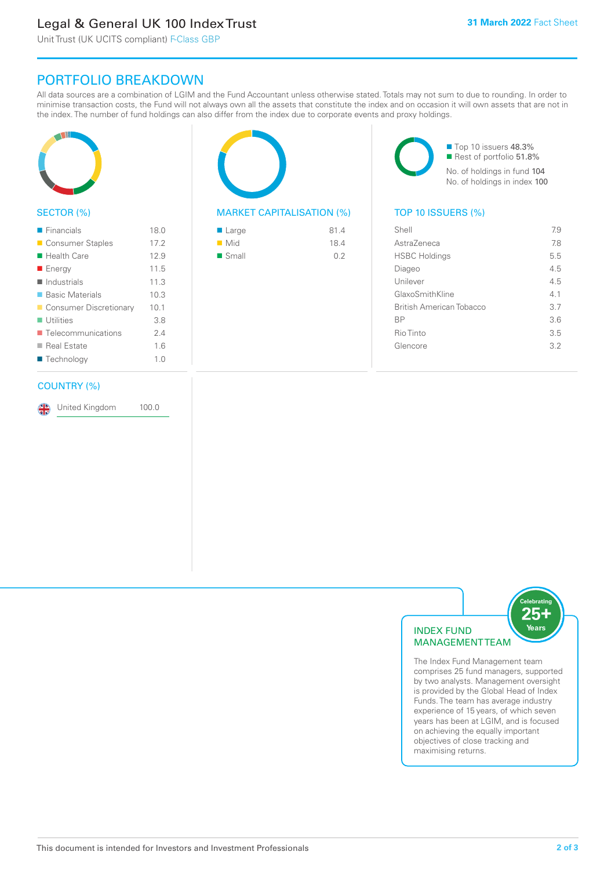# Legal & General UK 100 Index Trust

Unit Trust (UK UCITS compliant) F-Class GBP

# PORTFOLIO BREAKDOWN

All data sources are a combination of LGIM and the Fund Accountant unless otherwise stated. Totals may not sum to due to rounding. In order to minimise transaction costs, the Fund will not always own all the assets that constitute the index and on occasion it will own assets that are not in the index. The number of fund holdings can also differ from the index due to corporate events and proxy holdings.



#### SECTOR (%)

| $\blacksquare$ Financials         | 18.0 |
|-----------------------------------|------|
| ■ Consumer Staples                | 17.2 |
| ■ Health Care                     | 12.9 |
| ■ Energy                          | 11.5 |
| $\blacksquare$ Industrials        | 11.3 |
| ■ Basic Materials                 | 10.3 |
| Consumer Discretionary            | 10.1 |
| $\blacksquare$ Utilities          | 3.8  |
| $\blacksquare$ Telecommunications | 24   |
| ■ Real Estate                     | 1.6  |
| ■ Technology                      | 1.0  |
|                                   |      |

#### COUNTRY (%)

United Kingdom 100.0

#### MARKET CAPITALISATION (%) TOP 10 ISSUERS (%)

| ■ Large              | 81.4 |
|----------------------|------|
| $\blacksquare$ Mid   | 18.4 |
| $\blacksquare$ Small | 0.2  |

■ Top 10 issuers 48.3% Rest of portfolio 51.8% No. of holdings in fund 104 No. of holdings in index 100

| Shell                    | 7.9 |
|--------------------------|-----|
| Astra7eneca              | 78  |
| <b>HSBC Holdings</b>     | 5.5 |
| Diageo                   | 4.5 |
| Unilever                 | 4.5 |
| GlaxoSmithKline          | 4.1 |
| British American Tobacco | 3.7 |
| <b>BP</b>                | 36  |
| Rio Tinto                | 3.5 |
| Glencore                 | 32  |
|                          |     |



The Index Fund Management team comprises 25 fund managers, supported by two analysts. Management oversight is provided by the Global Head of Index Funds. The team has average industry experience of 15 years, of which seven years has been at LGIM, and is focused on achieving the equally important objectives of close tracking and maximising returns.